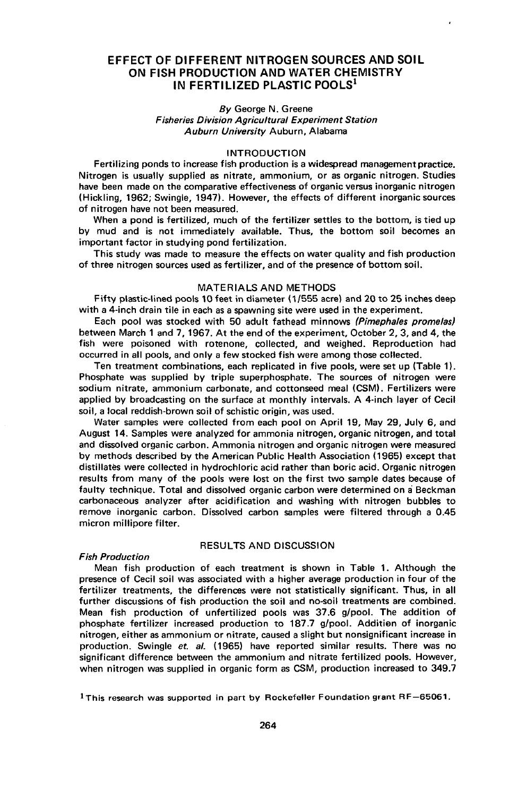# **EFFECT OF DIFFERENT NITROGEN SOURCES AND SOIL ON FISH PRODUCTION AND WATER CHEMISTRY IN FERTILIZED PLASTIC POOLS<sup>l</sup>**

## *By* George N. Greene Fisheries Division Agricultural Experiment Station Auburn University Auburn, Alabama

#### **INTRODUCTION**

Fertilizing ponds to increase fish production is a widespread management practice. Nitrogen is usually supplied as nitrate, ammonium, or as organic nitrogen. Studies have been made on the comparative effectiveness of organic versus inorganic nitrogen (Hickling, 1962; Swingle, 1947). However, the effects of different inorganic sources of nitrogen have not been measured.

When a pond is fertilized, much of the fertilizer settles to the bottom, is tied up by mud and is not immediately available. Thus, the bottom soil becomes an important factor in studying pond fertilization.

This study was made to measure the effects on water quality and fish production of three nitrogen sources used as fertilizer, and of the presence of bottom soil.

# MATERIALS AND METHODS

Fifty plastic-lined pools 10 feet in diameter (1/555 acre) and 20 to 25 inches deep with a 4-inch drain tile in each as a spawning site were used in the experiment.

Each pool was stocked with 50 adult fathead minnows (Pimephales promelas) between March 1 and 7, 1967. At the end of the experiment, October 2, 3, and 4, the fish were poisoned with rotenone, collected, and weighed. Reproduction had occurred in all pools, and only a few stocked fish were among those collected.

Ten treatment combinations, each replicated in five pools, were set up (Table 11. Phosphate was supplied by triple superphosphate. The sources of nitrogen were sodium nitrate, ammonium carbonate, and cottonseed meal (CSM). Fertilizers were applied by broadcasting on the surface at monthly intervals. A 4-inch layer of Cecil soil, a local reddish-brown soil of schistic origin, was used.

Water samples were collected from each pool on April 19, May 29, July 6, and August 14. Samples were analyzed for ammonia nitrogen, organic nitrogen, and total and dissolved organic carbon. Ammonia nitrogen and organic nitrogen were measured by methods described by the American Public Health Association (1965) except that distillates were collected in hydrochloric acid rather than boric acid. Organic nitrogen results from many of the pools were lost on the first two sample dates because of faulty technique. Total and dissolved organic carbon were determined on a Beckman carbonaceous analyzer after acidification and washing with nitrogen bubbles to remove inorganic carbon. Dissolved carbon samples were filtered through a 0.45 micron millipore filter.

## RESULTS AND DISCUSSION

#### Fish Production

Mean fish production of each treatment is shown in Table 1. Although the presence of Cecil soil was associated with a higher average production in four of the fertilizer treatments, the differences were not statistically significant. Thus, in all further discussions of fish production the soil and no-soil treatments are combined. Mean fish production of unfertilized pools was 37.6 g/pool. The addition of phosphate fertilizer increased production to  $187.7$  g/pool. Addition of inorganic nitrogen, either as ammonium or nitrate, caused a slight but nonsignificant increase in production. Swingle *et. al.* (1965) have reported similar results. There was no significant difference between the ammonium and nitrate fertilized pools. However, when nitrogen was supplied in organic form as CSM, production increased to 349.7

1This research was supported in part by Rockefeller Foundation grant RF-65061.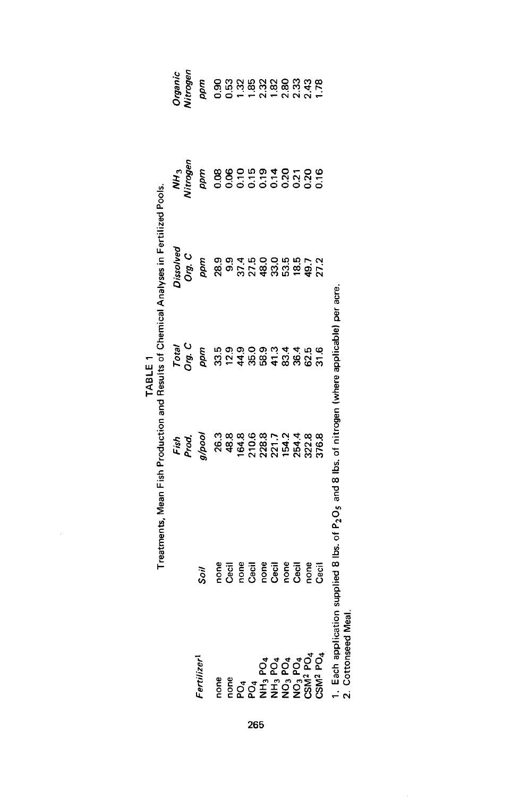|     |                                                                                             |                                                                                        | TABLE 1<br>Treatments, Mean Fish Production and Results of Chemical Analyses in Fertilized Pools. |                                                                 |                                                                                                             |                                                                                                                                                                                                                                         |  |
|-----|---------------------------------------------------------------------------------------------|----------------------------------------------------------------------------------------|---------------------------------------------------------------------------------------------------|-----------------------------------------------------------------|-------------------------------------------------------------------------------------------------------------|-----------------------------------------------------------------------------------------------------------------------------------------------------------------------------------------------------------------------------------------|--|
|     |                                                                                             |                                                                                        |                                                                                                   |                                                                 |                                                                                                             |                                                                                                                                                                                                                                         |  |
|     | ertilizer                                                                                   | Soil                                                                                   | $F_{\text{e}}^{i_{\text{th}}}$                                                                    |                                                                 | sisco<br>20 m = 0 m = 0 m = 0 m = 0 m<br>20 m = 0 m = 0 m = 0 m = 0 m<br>20 m = 0 m = 0 m = 0 m = 0 m = 0 m | were<br>Singles and contract contract of the segment<br>Singles and contract contract of the segment of the segment of the segment of the segment of the segment of th<br>Singles and contract of the segment of the segment of the seg |  |
|     |                                                                                             |                                                                                        |                                                                                                   |                                                                 |                                                                                                             |                                                                                                                                                                                                                                         |  |
|     |                                                                                             |                                                                                        |                                                                                                   |                                                                 |                                                                                                             |                                                                                                                                                                                                                                         |  |
|     |                                                                                             |                                                                                        |                                                                                                   |                                                                 |                                                                                                             |                                                                                                                                                                                                                                         |  |
| 265 |                                                                                             |                                                                                        |                                                                                                   |                                                                 |                                                                                                             |                                                                                                                                                                                                                                         |  |
|     |                                                                                             |                                                                                        |                                                                                                   |                                                                 |                                                                                                             |                                                                                                                                                                                                                                         |  |
|     |                                                                                             |                                                                                        |                                                                                                   |                                                                 |                                                                                                             |                                                                                                                                                                                                                                         |  |
|     |                                                                                             |                                                                                        |                                                                                                   |                                                                 |                                                                                                             |                                                                                                                                                                                                                                         |  |
|     |                                                                                             |                                                                                        |                                                                                                   |                                                                 |                                                                                                             |                                                                                                                                                                                                                                         |  |
|     |                                                                                             |                                                                                        |                                                                                                   |                                                                 |                                                                                                             |                                                                                                                                                                                                                                         |  |
|     | <b>DOCATIONS</b><br>DOCATIONS CONTROL<br>DOCATIONS CONTROL<br>CONTROLS CONTROL<br>DOCATIONS | perial results<br>Compare de la period<br>Compare de la period<br>Compare de la period |                                                                                                   |                                                                 |                                                                                                             |                                                                                                                                                                                                                                         |  |
|     | $\ddot{ }$                                                                                  |                                                                                        | <b>Production</b> of the state of the state of                                                    | $\mathbf{r}$ and $\mathbf{r}$ and $\mathbf{r}$ and $\mathbf{r}$ |                                                                                                             |                                                                                                                                                                                                                                         |  |

1. Each application supplied 8 lbs. of P<sub>2</sub>O<sub>5</sub> and 8 lbs. of nitrogen (where applicable) per acre.<br>2. Cottonseed Meal. 1. Each application supplied 8 Ibs. of PzOs and 8 Ibs. of nitrogen (where applicable) per acre.

2. Cottonseed Meal.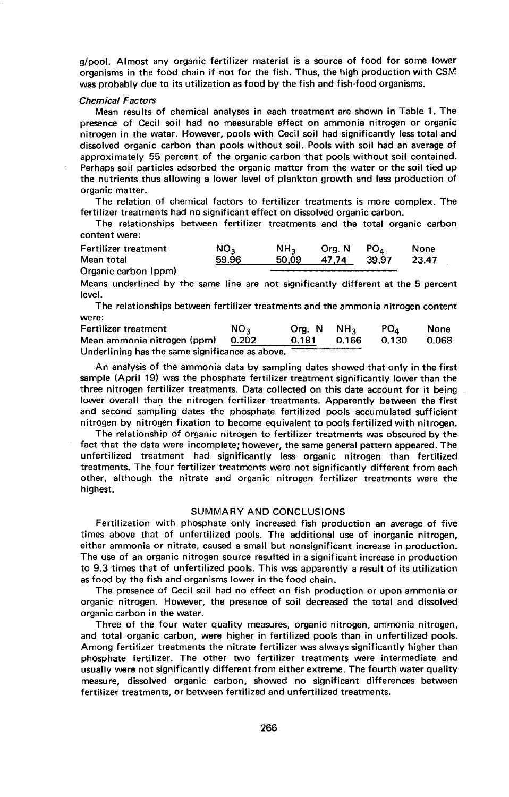g/pool. Almost any organic fertilizer material is a source of food for some lower organisms in the food chain if not for the fish. Thus, the high production with CSM was probably due to its utilization as food by the fish and fish-food organisms.

#### Chemical Factors

Mean results of chemical analyses in each treatment are shown in Table 1. The presence of Cecil soil had no measurable effect on ammonia nitrogen or organic nitrogen in the water. However, pools with Cecil soil had significantly less total and dissolved organic carbon than pools without soil. Pools with soil had an average of approximately 55 percent of the organic carbon that pools without soil contained. Perhaps soil particles adsorbed the organic matter from the water or the soil tied up the nutrients thus allowing a lower level of plankton growth and less production of organic matter.

The relation of chemical factors to fertilizer treatments is more complex. The fertilizer treatments had no significant effect on dissolved organic carbon.

The relationships between fertilizer treatments and the total organic carbon content were:

| Fertilizer treatment | NO2   | NH <sub>2</sub> | Org. N | PO.   | None  |  |
|----------------------|-------|-----------------|--------|-------|-------|--|
| Mean total           | 59.96 | 50.09           | 47.74  | 39.97 | 23.47 |  |
| Organic carbon (ppm) |       |                 |        |       |       |  |

Means underlined by the same line are not significantly different at the 5 percent level.

The relationships between fertilizer treatments and the ammonia nitrogen content were:

| Fertilizer treatment                            | NO <sub>3</sub> | Org. N | NH <sub>2</sub> | PO <sub>4</sub> | None  |
|-------------------------------------------------|-----------------|--------|-----------------|-----------------|-------|
| Mean ammonia nitrogen (ppm) 0.202               |                 | 0.181  | 0.166           | 0.130           | 0.068 |
| Underlining has the same significance as above. |                 |        |                 |                 |       |

An analysis of the ammonia data by sampling dates showed that only in the first sample (April 19) was the phosphate fertilizer treatment significantly lower than the three nitrogen fertilizer treatments. Data collected on this date account for it being lower overall than the nitrogen fertilizer treatments. Apparently between the first and second sampling dates the phosphate fertilized pools accumulated sufficient nitrogen by nitrogen fixation to become equivalent to pools fertilized with nitrogen.

The relationship of organic nitrogen to fertilizer treatments was obscured by the fact that the data were incomplete; however, the same general pattern appeared. The unfertilized treatment had significantly less organic nitrogen than fertilized treatments. The four fertilizer treatments were not significantly different from each other, although the nitrate and organic nitrogen fertilizer treatments were the highest.

#### SUMMARY AND CONCLUSIONS

Fertilization with phosphate only increased fish production an average of five times above that of unfertilized pools. The additional use of inorganic nitrogen, either ammonia or nitrate, caused a small but nonsignificant increase in production. The use of an organic nitrogen source resulted in a significant increase in production to 9.3 times that of unfertilized pools. This was apparently a result of its utilization as food by the fish and organisms lower in the food chain.

The presence of Cecil soil had no effect on fish production or upon ammonia or organic nitrogen. However, the presence of soil decreased the total and dissolved organic carbon in the water.

Three of the four water quality measures, organic nitrogen, ammonia nitrogen, and total organic carbon, were higher in fertilized pools than in unfertilized pools. Among fertilizer treatments the nitrate fertilizer was always significantly higher than phosphate fertilizer. The other two fertilizer treatments were intermediate and usually were not significantly different from either extreme. The fourth water quality measure, dissolved organic carbon, showed no significant differences between fertilizer treatments, or between fertilized and unfertilized treatments.